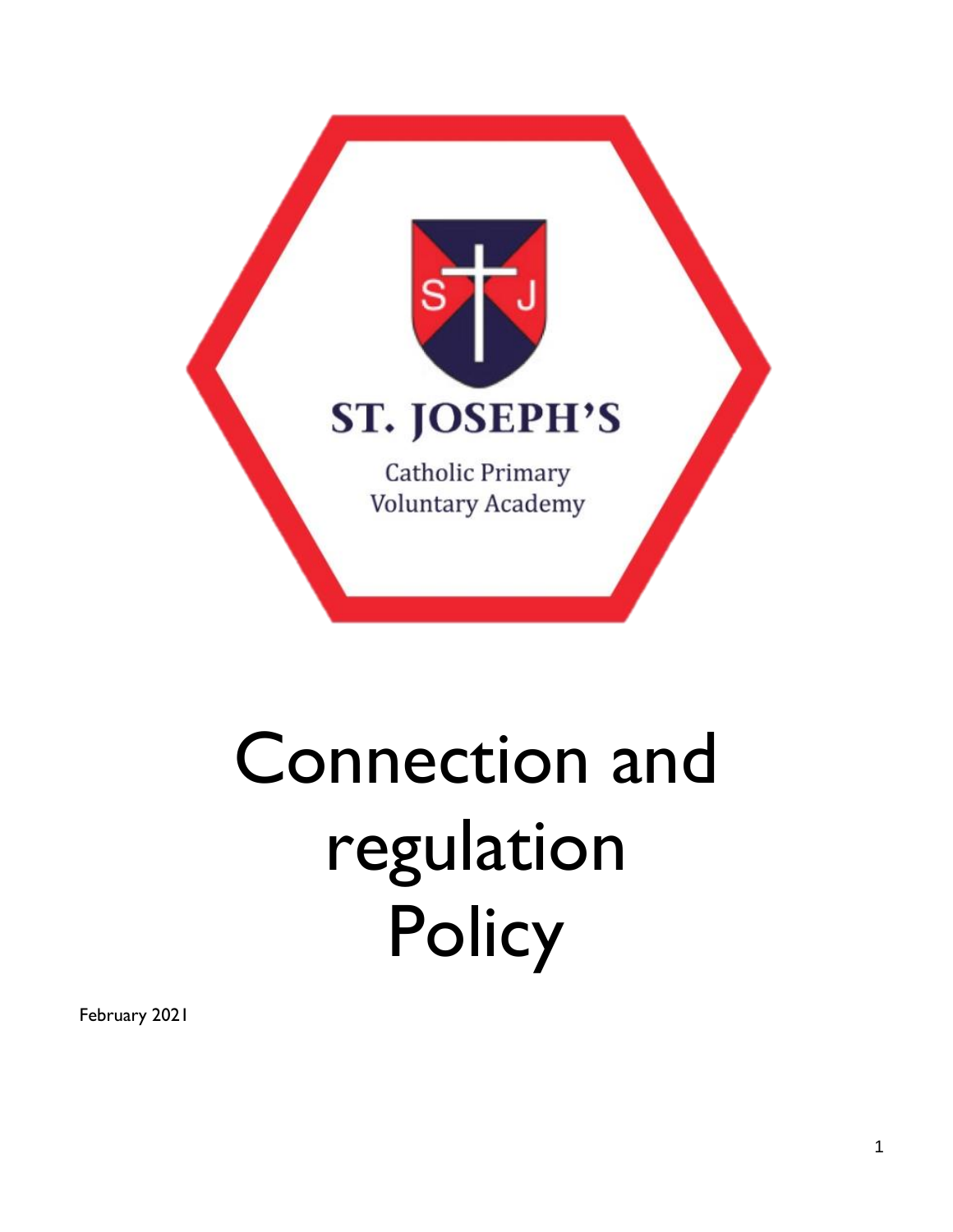

# Connection and regulation **Policy**

February 2021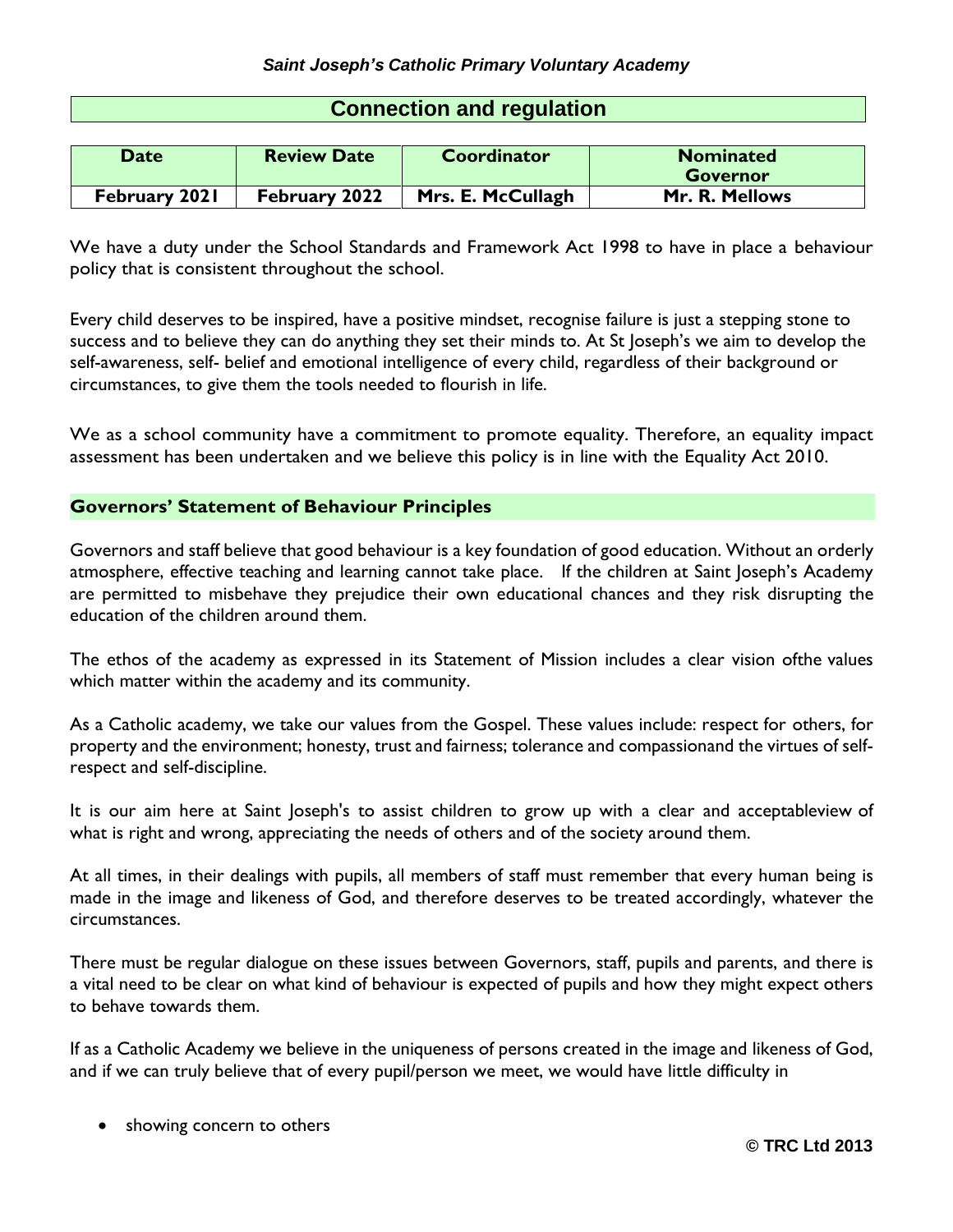| <b>Connection and regulation</b> |   |  |  |
|----------------------------------|---|--|--|
|                                  |   |  |  |
|                                  | . |  |  |

| Date          | <b>Review Date</b> | Coordinator       | <b>Nominated</b> |
|---------------|--------------------|-------------------|------------------|
|               |                    |                   | <b>Governor</b>  |
| February 2021 | February 2022      | Mrs. E. McCullagh | Mr. R. Mellows   |

We have a duty under the School Standards and Framework Act 1998 to have in place a behaviour policy that is consistent throughout the school.

Every child deserves to be inspired, have a positive mindset, recognise failure is just a stepping stone to success and to believe they can do anything they set their minds to. At St Joseph's we aim to develop the self-awareness, self- belief and emotional intelligence of every child, regardless of their background or circumstances, to give them the tools needed to flourish in life.

We as a school community have a commitment to promote equality. Therefore, an equality impact assessment has been undertaken and we believe this policy is in line with the Equality Act 2010.

# **Governors' Statement of Behaviour Principles**

Governors and staff believe that good behaviour is a key foundation of good education. Without an orderly atmosphere, effective teaching and learning cannot take place. If the children at Saint Joseph's Academy are permitted to misbehave they prejudice their own educational chances and they risk disrupting the education of the children around them.

The ethos of the academy as expressed in its Statement of Mission includes a clear vision ofthe values which matter within the academy and its community.

As a Catholic academy, we take our values from the Gospel. These values include: respect for others, for property and the environment; honesty, trust and fairness; tolerance and compassionand the virtues of selfrespect and self-discipline.

It is our aim here at Saint Joseph's to assist children to grow up with a clear and acceptableview of what is right and wrong, appreciating the needs of others and of the society around them.

At all times, in their dealings with pupils, all members of staff must remember that every human being is made in the image and likeness of God, and therefore deserves to be treated accordingly, whatever the circumstances.

There must be regular dialogue on these issues between Governors, staff, pupils and parents, and there is a vital need to be clear on what kind of behaviour is expected of pupils and how they might expect others to behave towards them.

If as a Catholic Academy we believe in the uniqueness of persons created in the image and likeness of God, and if we can truly believe that of every pupil/person we meet, we would have little difficulty in

• showing concern to others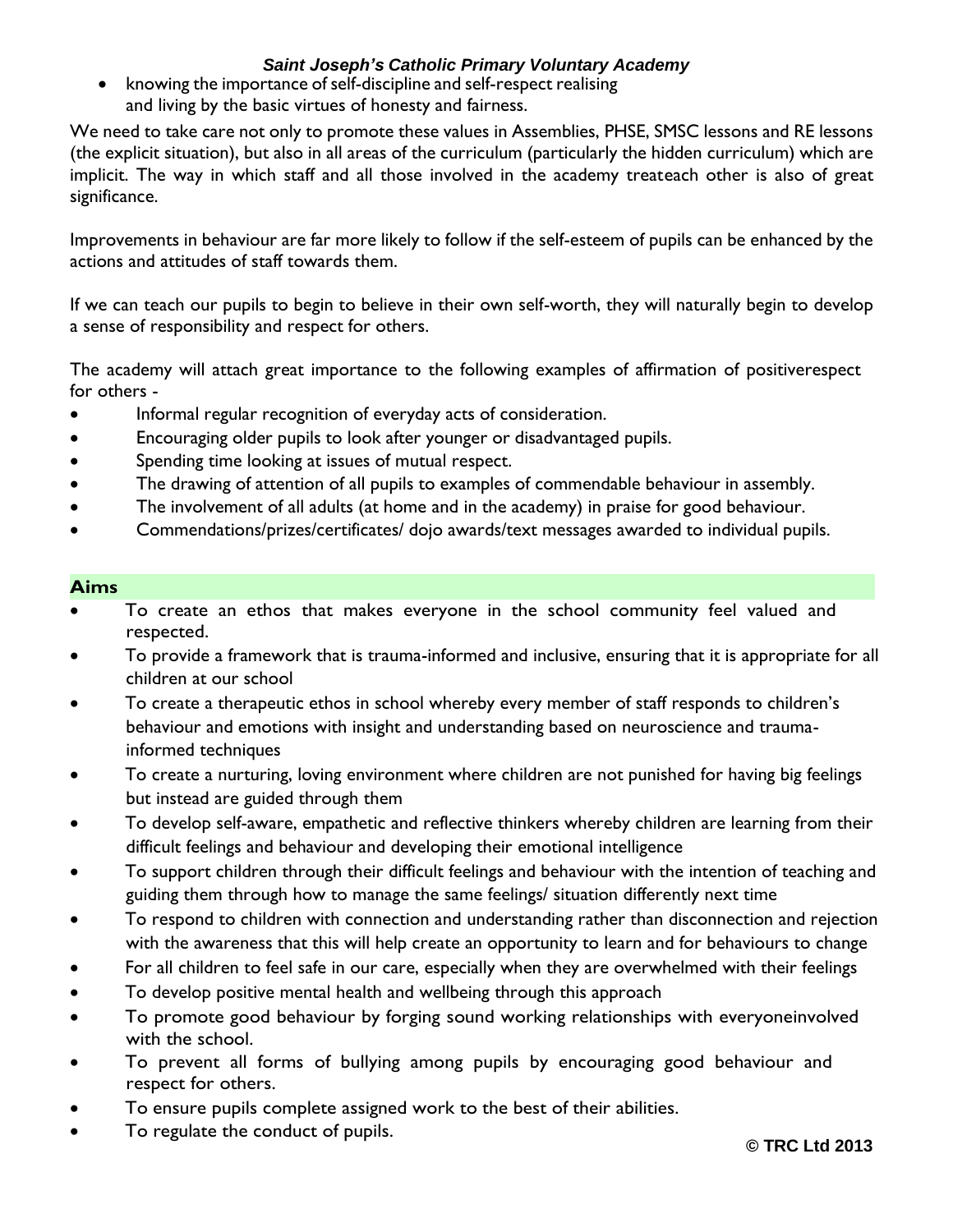knowing the importance of self-discipline and self-respect realising and living by the basic virtues of honesty and fairness.

We need to take care not only to promote these values in Assemblies, PHSE, SMSC lessons and RE lessons (the explicit situation), but also in all areas of the curriculum (particularly the hidden curriculum) which are implicit. The way in which staff and all those involved in the academy treateach other is also of great significance.

Improvements in behaviour are far more likely to follow if the self-esteem of pupils can be enhanced by the actions and attitudes of staff towards them.

If we can teach our pupils to begin to believe in their own self-worth, they will naturally begin to develop a sense of responsibility and respect for others.

The academy will attach great importance to the following examples of affirmation of positiverespect for others -

- Informal regular recognition of everyday acts of consideration.
- Encouraging older pupils to look after younger or disadvantaged pupils.
- Spending time looking at issues of mutual respect.
- The drawing of attention of all pupils to examples of commendable behaviour in assembly.
- The involvement of all adults (at home and in the academy) in praise for good behaviour.
- Commendations/prizes/certificates/ dojo awards/text messages awarded to individual pupils.

## **Aims**

- To create an ethos that makes everyone in the school community feel valued and respected.
- To provide a framework that is trauma-informed and inclusive, ensuring that it is appropriate for all children at our school
- To create a therapeutic ethos in school whereby every member of staff responds to children's behaviour and emotions with insight and understanding based on neuroscience and traumainformed techniques
- To create a nurturing, loving environment where children are not punished for having big feelings but instead are guided through them
- To develop self-aware, empathetic and reflective thinkers whereby children are learning from their difficult feelings and behaviour and developing their emotional intelligence
- To support children through their difficult feelings and behaviour with the intention of teaching and guiding them through how to manage the same feelings/ situation differently next time
- To respond to children with connection and understanding rather than disconnection and rejection with the awareness that this will help create an opportunity to learn and for behaviours to change
- For all children to feel safe in our care, especially when they are overwhelmed with their feelings
- To develop positive mental health and wellbeing through this approach
- To promote good behaviour by forging sound working relationships with everyoneinvolved with the school.
- To prevent all forms of bullying among pupils by encouraging good behaviour and respect for others.
- To ensure pupils complete assigned work to the best of their abilities.
- To regulate the conduct of pupils.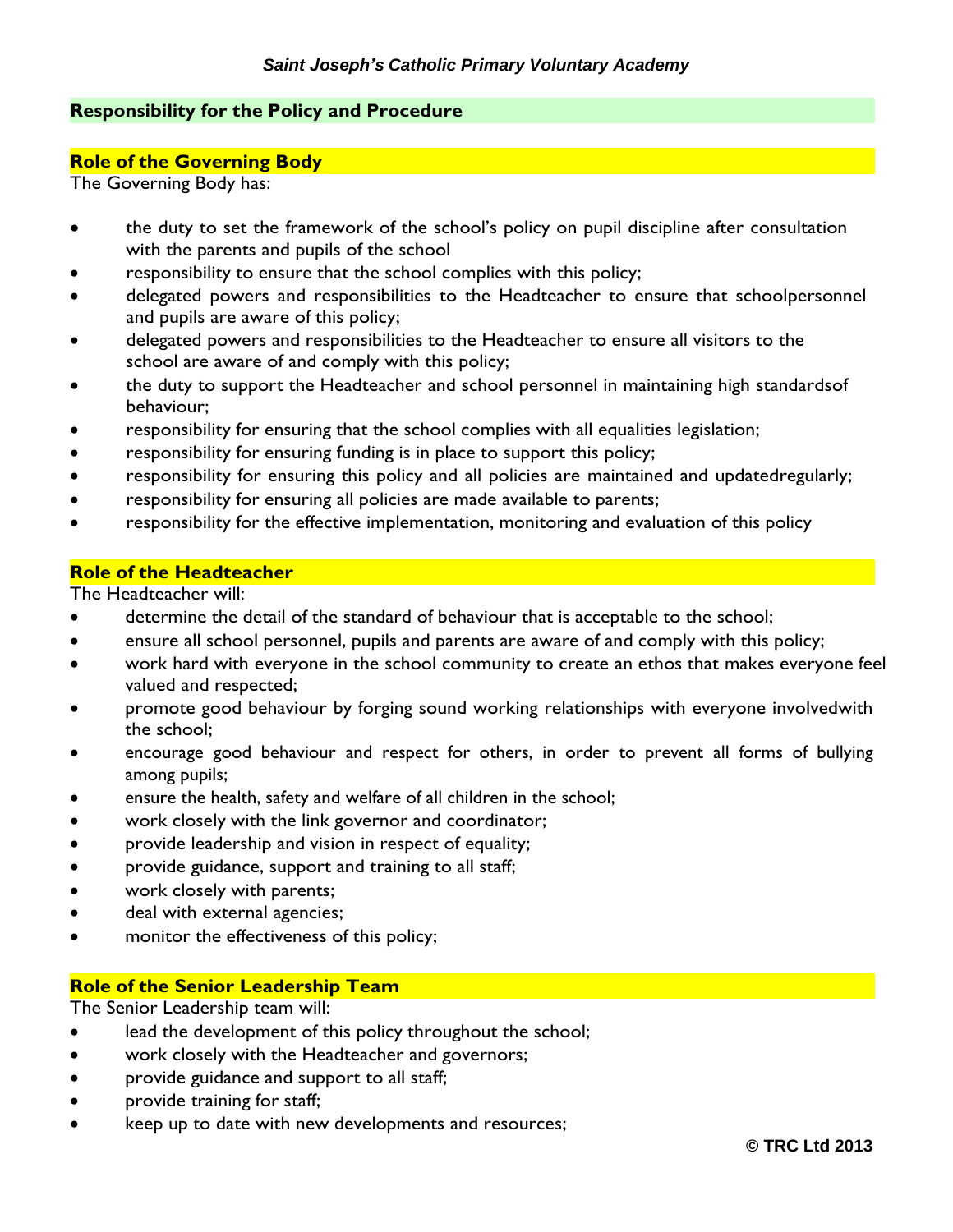## **Responsibility for the Policy and Procedure**

#### **Role of the Governing Body**

The Governing Body has:

- the duty to set the framework of the school's policy on pupil discipline after consultation with the parents and pupils of the school
- responsibility to ensure that the school complies with this policy;
- delegated powers and responsibilities to the Headteacher to ensure that schoolpersonnel and pupils are aware of this policy;
- delegated powers and responsibilities to the Headteacher to ensure all visitors to the school are aware of and comply with this policy;
- the duty to support the Headteacher and school personnel in maintaining high standardsof behaviour;
- responsibility for ensuring that the school complies with all equalities legislation;
- responsibility for ensuring funding is in place to support this policy;
- responsibility for ensuring this policy and all policies are maintained and updatedregularly;
- responsibility for ensuring all policies are made available to parents;
- responsibility for the effective implementation, monitoring and evaluation of this policy

#### **Role of the Headteacher**

The Headteacher will:

- determine the detail of the standard of behaviour that is acceptable to the school;
- ensure all school personnel, pupils and parents are aware of and comply with this policy;
- work hard with everyone in the school community to create an ethos that makes everyone feel valued and respected;
- promote good behaviour by forging sound working relationships with everyone involvedwith the school;
- encourage good behaviour and respect for others, in order to prevent all forms of bullying among pupils;
- ensure the health, safety and welfare of all children in the school;
- work closely with the link governor and coordinator;
- provide leadership and vision in respect of equality;
- provide guidance, support and training to all staff;
- work closely with parents;
- deal with external agencies;
- monitor the effectiveness of this policy;

# **Role of the Senior Leadership Team**

The Senior Leadership team will:

- lead the development of this policy throughout the school;
- work closely with the Headteacher and governors;
- provide guidance and support to all staff;
- provide training for staff;
- keep up to date with new developments and resources;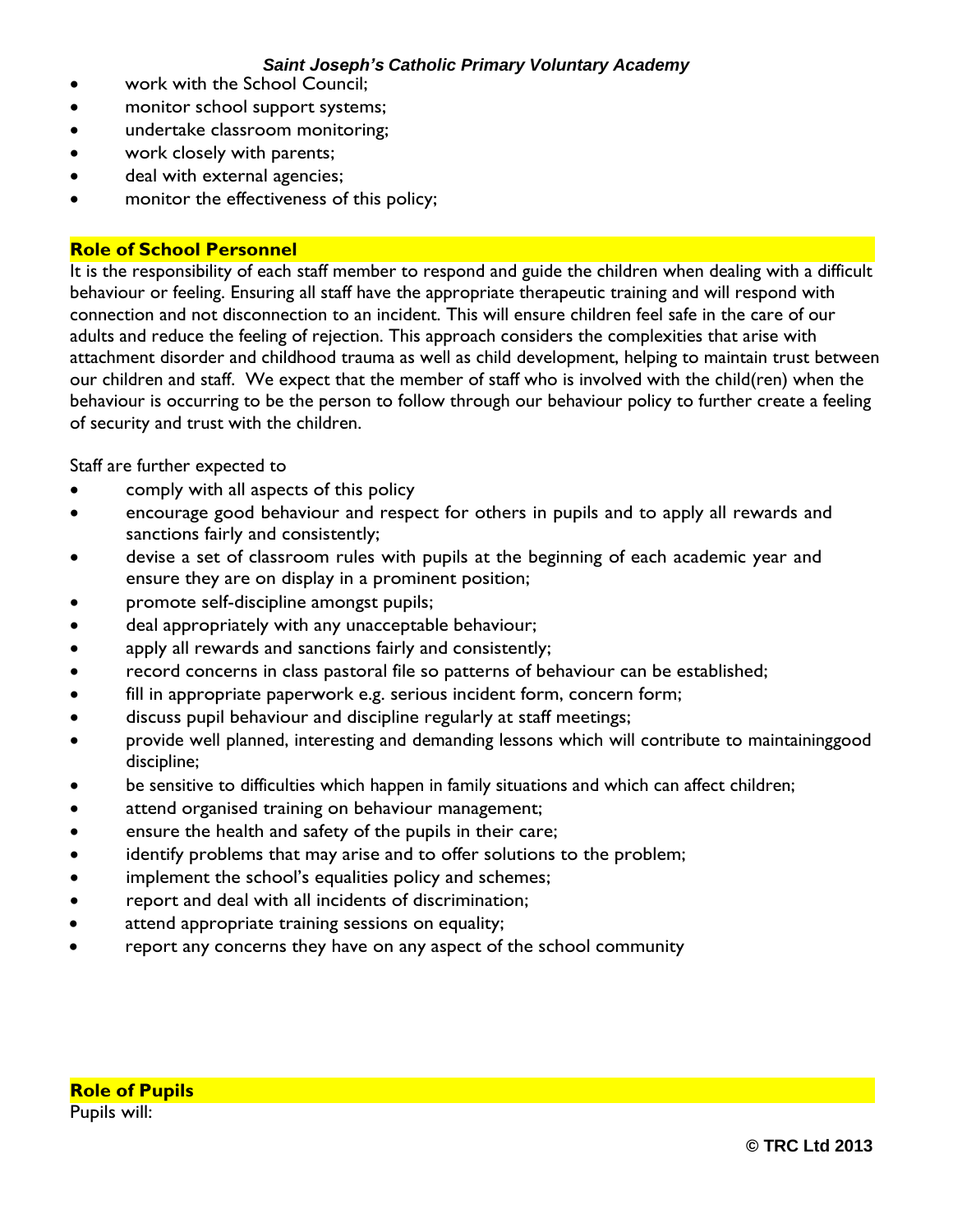- work with the School Council;
- monitor school support systems;
- undertake classroom monitoring;
- work closely with parents;
- deal with external agencies;
- monitor the effectiveness of this policy;

## **Role of School Personnel**

It is the responsibility of each staff member to respond and guide the children when dealing with a difficult behaviour or feeling. Ensuring all staff have the appropriate therapeutic training and will respond with connection and not disconnection to an incident. This will ensure children feel safe in the care of our adults and reduce the feeling of rejection. This approach considers the complexities that arise with attachment disorder and childhood trauma as well as child development, helping to maintain trust between our children and staff. We expect that the member of staff who is involved with the child(ren) when the behaviour is occurring to be the person to follow through our behaviour policy to further create a feeling of security and trust with the children.

Staff are further expected to

- comply with all aspects of this policy
- encourage good behaviour and respect for others in pupils and to apply all rewards and sanctions fairly and consistently;
- devise a set of classroom rules with pupils at the beginning of each academic year and ensure they are on display in a prominent position;
- promote self-discipline amongst pupils;
- deal appropriately with any unacceptable behaviour;
- apply all rewards and sanctions fairly and consistently;
- record concerns in class pastoral file so patterns of behaviour can be established;
- fill in appropriate paperwork e.g. serious incident form, concern form;
- discuss pupil behaviour and discipline regularly at staff meetings;
- provide well planned, interesting and demanding lessons which will contribute to maintaininggood discipline;
- be sensitive to difficulties which happen in family situations and which can affect children;
- attend organised training on behaviour management;
- ensure the health and safety of the pupils in their care;
- identify problems that may arise and to offer solutions to the problem;
- implement the school's equalities policy and schemes;
- report and deal with all incidents of discrimination;
- attend appropriate training sessions on equality;
- report any concerns they have on any aspect of the school community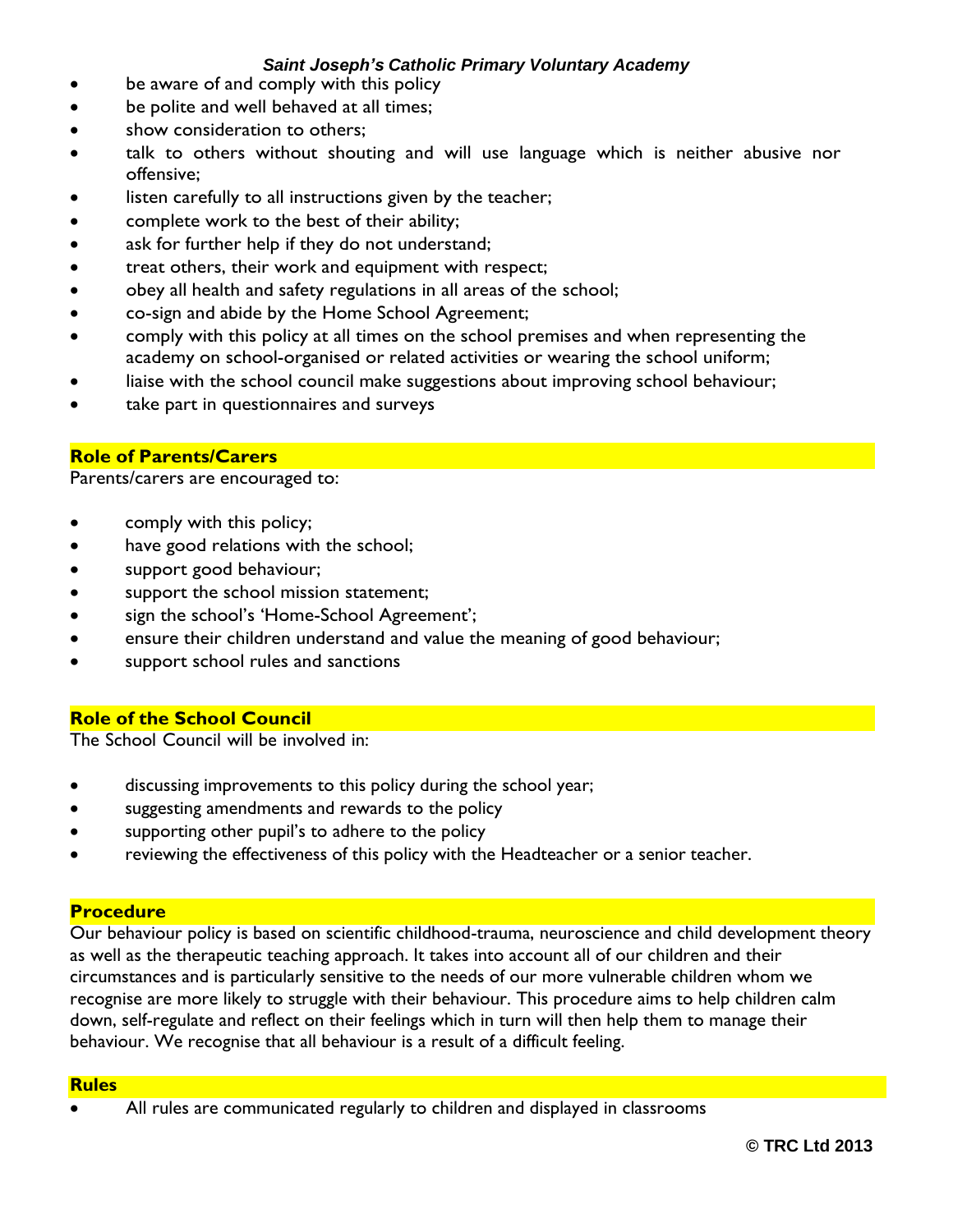- be aware of and comply with this policy
- be polite and well behaved at all times;
- show consideration to others;
- talk to others without shouting and will use language which is neither abusive nor offensive;
- listen carefully to all instructions given by the teacher;
- complete work to the best of their ability;
- ask for further help if they do not understand;
- treat others, their work and equipment with respect;
- obey all health and safety regulations in all areas of the school;
- co-sign and abide by the Home School Agreement;
- comply with this policy at all times on the school premises and when representing the academy on school-organised or related activities or wearing the school uniform;
- liaise with the school council make suggestions about improving school behaviour;
- take part in questionnaires and surveys

# **Role of Parents/Carers**

Parents/carers are encouraged to:

- comply with this policy;
- have good relations with the school;
- support good behaviour;
- support the school mission statement;
- sign the school's 'Home-School Agreement';
- ensure their children understand and value the meaning of good behaviour;
- support school rules and sanctions

# **Role of the School Council**

The School Council will be involved in:

- discussing improvements to this policy during the school year;
- suggesting amendments and rewards to the policy
- supporting other pupil's to adhere to the policy
- reviewing the effectiveness of this policy with the Headteacher or a senior teacher.

# **Procedure**

Our behaviour policy is based on scientific childhood-trauma, neuroscience and child development theory as well as the therapeutic teaching approach. It takes into account all of our children and their circumstances and is particularly sensitive to the needs of our more vulnerable children whom we recognise are more likely to struggle with their behaviour. This procedure aims to help children calm down, self-regulate and reflect on their feelings which in turn will then help them to manage their behaviour. We recognise that all behaviour is a result of a difficult feeling.

#### **Rules**

All rules are communicated regularly to children and displayed in classrooms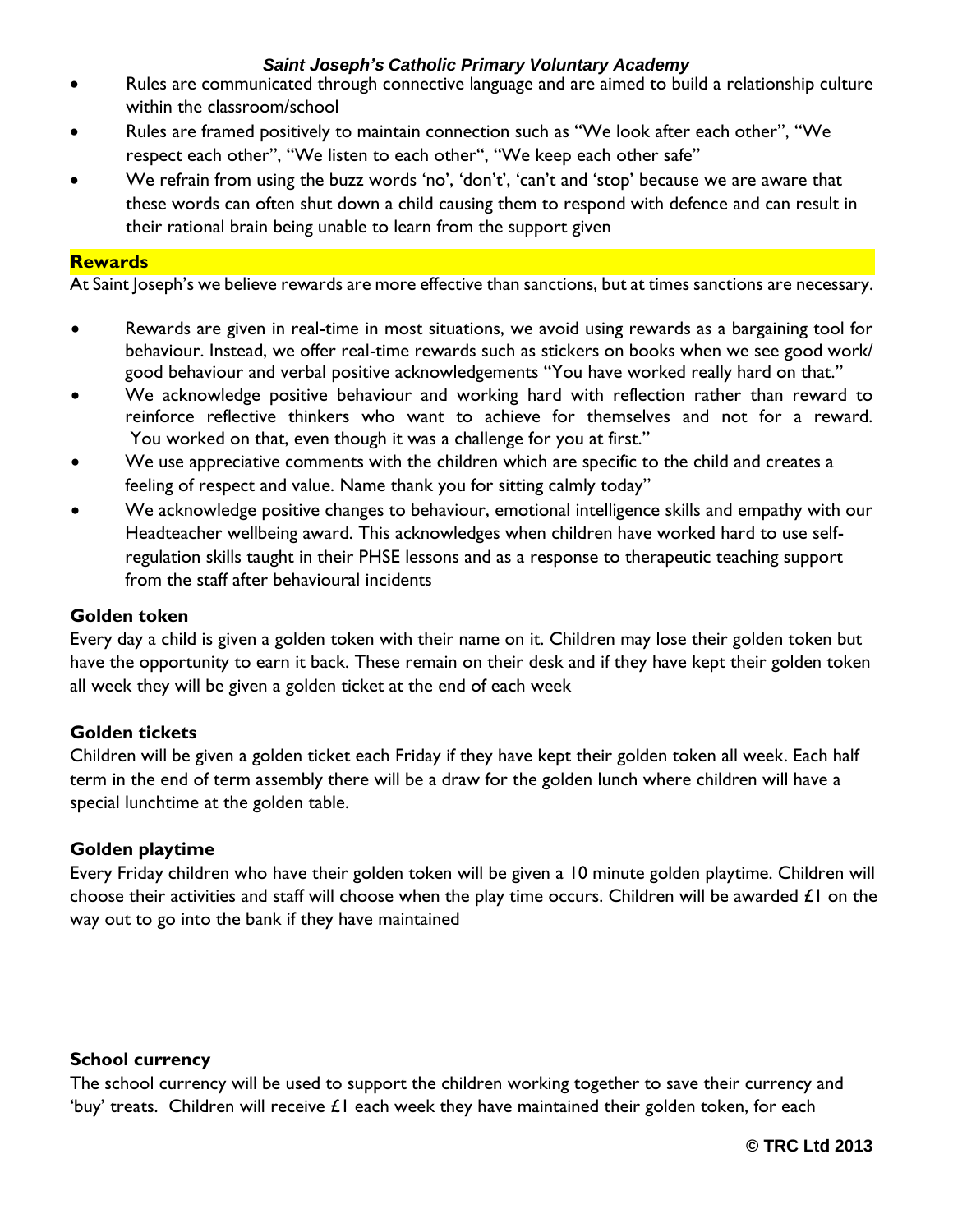- Rules are communicated through connective language and are aimed to build a relationship culture within the classroom/school
- Rules are framed positively to maintain connection such as "We look after each other", "We respect each other", "We listen to each other", "We keep each other safe"
- We refrain from using the buzz words 'no', 'don't', 'can't and 'stop' because we are aware that these words can often shut down a child causing them to respond with defence and can result in their rational brain being unable to learn from the support given

#### **Rewards**

At Saint Joseph's we believe rewards are more effective than sanctions, but at times sanctions are necessary.

- Rewards are given in real-time in most situations, we avoid using rewards as a bargaining tool for behaviour. Instead, we offer real-time rewards such as stickers on books when we see good work/ good behaviour and verbal positive acknowledgements "You have worked really hard on that."
- We acknowledge positive behaviour and working hard with reflection rather than reward to reinforce reflective thinkers who want to achieve for themselves and not for a reward. You worked on that, even though it was a challenge for you at first."
- We use appreciative comments with the children which are specific to the child and creates a feeling of respect and value. Name thank you for sitting calmly today"
- We acknowledge positive changes to behaviour, emotional intelligence skills and empathy with our Headteacher wellbeing award. This acknowledges when children have worked hard to use selfregulation skills taught in their PHSE lessons and as a response to therapeutic teaching support from the staff after behavioural incidents

## **Golden token**

Every day a child is given a golden token with their name on it. Children may lose their golden token but have the opportunity to earn it back. These remain on their desk and if they have kept their golden token all week they will be given a golden ticket at the end of each week

# **Golden tickets**

Children will be given a golden ticket each Friday if they have kept their golden token all week. Each half term in the end of term assembly there will be a draw for the golden lunch where children will have a special lunchtime at the golden table.

# **Golden playtime**

Every Friday children who have their golden token will be given a 10 minute golden playtime. Children will choose their activities and staff will choose when the play time occurs. Children will be awarded  $\pounds I$  on the way out to go into the bank if they have maintained

#### **School currency**

The school currency will be used to support the children working together to save their currency and 'buy' treats. Children will receive  $\pounds I$  each week they have maintained their golden token, for each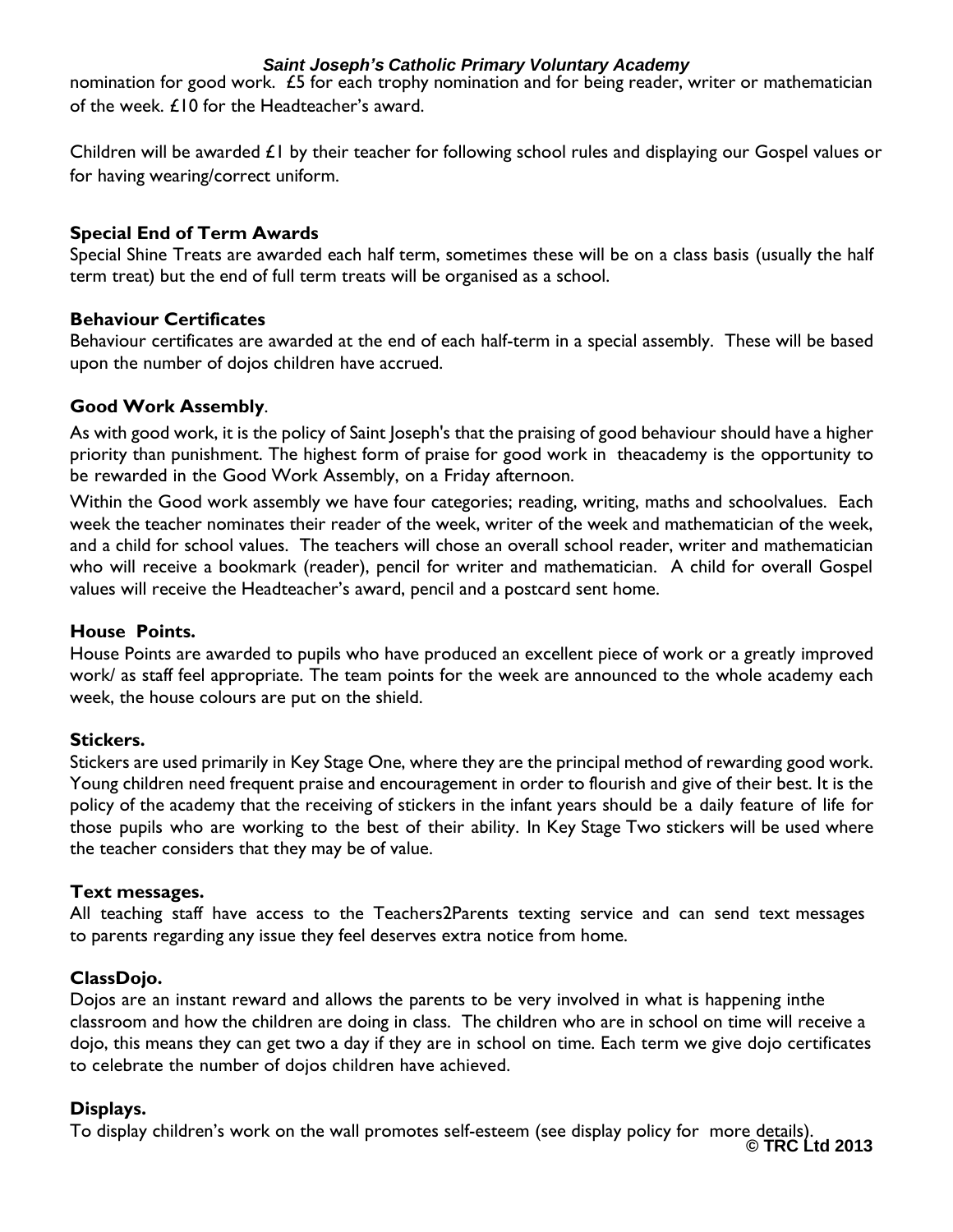nomination for good work. £5 for each trophy nomination and for being reader, writer or mathematician of the week. £10 for the Headteacher's award.

Children will be awarded £1 by their teacher for following school rules and displaying our Gospel values or for having wearing/correct uniform.

# **Special End of Term Awards**

Special Shine Treats are awarded each half term, sometimes these will be on a class basis (usually the half term treat) but the end of full term treats will be organised as a school.

# **Behaviour Certificates**

Behaviour certificates are awarded at the end of each half-term in a special assembly. These will be based upon the number of dojos children have accrued.

# **Good Work Assembly**.

As with good work, it is the policy of Saint Joseph's that the praising of good behaviour should have a higher priority than punishment. The highest form of praise for good work in theacademy is the opportunity to be rewarded in the Good Work Assembly, on a Friday afternoon.

Within the Good work assembly we have four categories; reading, writing, maths and schoolvalues. Each week the teacher nominates their reader of the week, writer of the week and mathematician of the week, and a child for school values. The teachers will chose an overall school reader, writer and mathematician who will receive a bookmark (reader), pencil for writer and mathematician. A child for overall Gospel values will receive the Headteacher's award, pencil and a postcard sent home.

# **House Points.**

House Points are awarded to pupils who have produced an excellent piece of work or a greatly improved work/ as staff feel appropriate. The team points for the week are announced to the whole academy each week, the house colours are put on the shield.

# **Stickers.**

Stickers are used primarily in Key Stage One, where they are the principal method of rewarding good work. Young children need frequent praise and encouragement in order to flourish and give of their best. It is the policy of the academy that the receiving of stickers in the infant years should be a daily feature of life for those pupils who are working to the best of their ability. In Key Stage Two stickers will be used where the teacher considers that they may be of value.

# **Text messages.**

All teaching staff have access to the Teachers2Parents texting service and can send text messages to parents regarding any issue they feel deserves extra notice from home.

# **ClassDojo.**

Dojos are an instant reward and allows the parents to be very involved in what is happening inthe classroom and how the children are doing in class. The children who are in school on time will receive a dojo, this means they can get two a day if they are in school on time. Each term we give dojo certificates to celebrate the number of dojos children have achieved.

# **Displays.**

**© TRC Ltd 2013** To display children's work on the wall promotes self-esteem (see display policy for more details).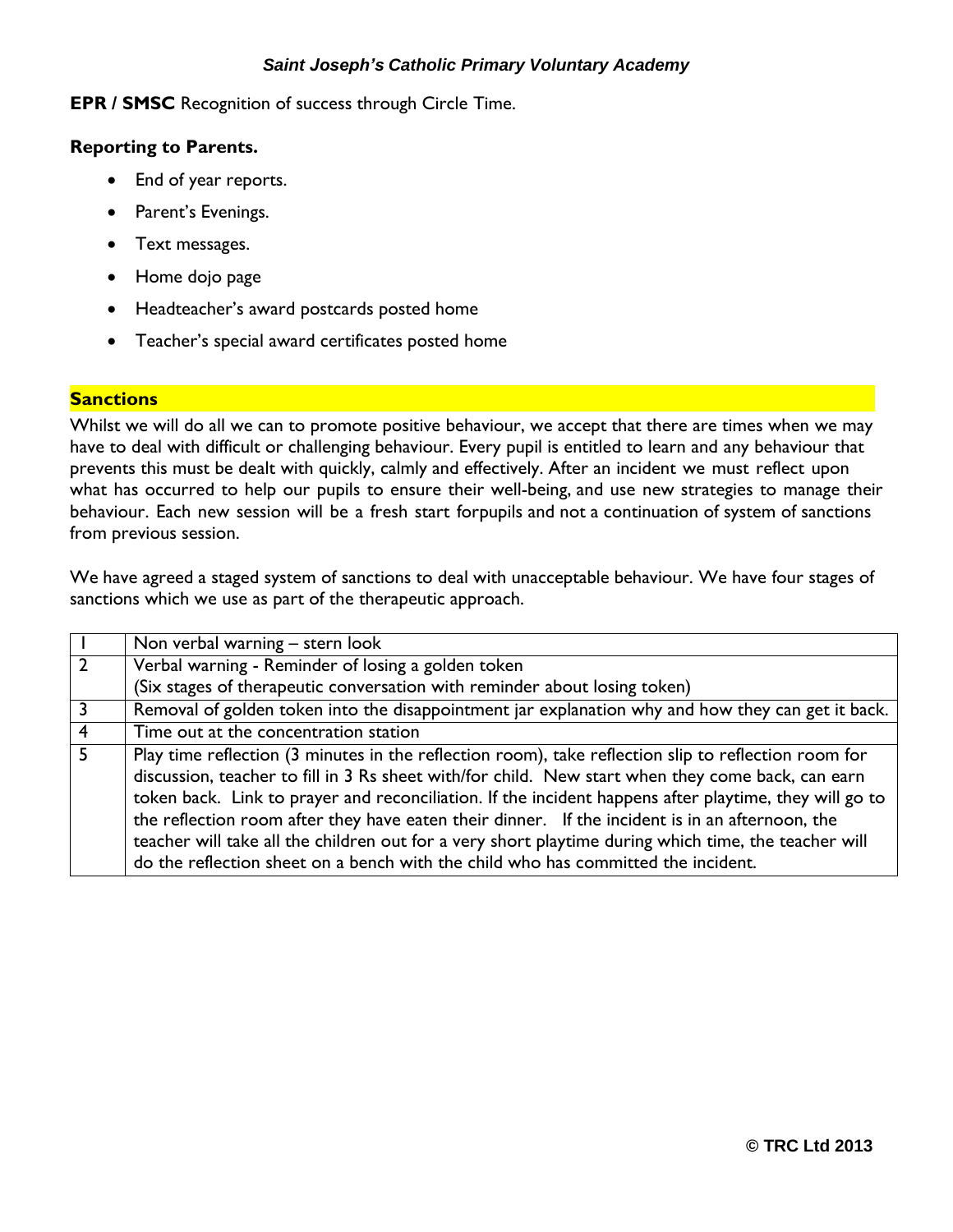**EPR / SMSC** Recognition of success through Circle Time.

### **Reporting to Parents.**

- End of year reports.
- Parent's Evenings.
- Text messages.
- Home dojo page
- Headteacher's award postcards posted home
- Teacher's special award certificates posted home

## **Sanctions**

Whilst we will do all we can to promote positive behaviour, we accept that there are times when we may have to deal with difficult or challenging behaviour. Every pupil is entitled to learn and any behaviour that prevents this must be dealt with quickly, calmly and effectively. After an incident we must reflect upon what has occurred to help our pupils to ensure their well-being, and use new strategies to manage their behaviour. Each new session will be a fresh start forpupils and not a continuation of system of sanctions from previous session.

We have agreed a staged system of sanctions to deal with unacceptable behaviour. We have four stages of sanctions which we use as part of the therapeutic approach.

| Non verbal warning – stern look                                                                                                                                                                                                                                                                                                                                                                                                                                                                                                                                                                                     |
|---------------------------------------------------------------------------------------------------------------------------------------------------------------------------------------------------------------------------------------------------------------------------------------------------------------------------------------------------------------------------------------------------------------------------------------------------------------------------------------------------------------------------------------------------------------------------------------------------------------------|
| Verbal warning - Reminder of losing a golden token                                                                                                                                                                                                                                                                                                                                                                                                                                                                                                                                                                  |
| (Six stages of therapeutic conversation with reminder about losing token)                                                                                                                                                                                                                                                                                                                                                                                                                                                                                                                                           |
| Removal of golden token into the disappointment jar explanation why and how they can get it back.                                                                                                                                                                                                                                                                                                                                                                                                                                                                                                                   |
| Time out at the concentration station                                                                                                                                                                                                                                                                                                                                                                                                                                                                                                                                                                               |
| Play time reflection (3 minutes in the reflection room), take reflection slip to reflection room for<br>discussion, teacher to fill in 3 Rs sheet with/for child. New start when they come back, can earn<br>token back. Link to prayer and reconciliation. If the incident happens after playtime, they will go to<br>the reflection room after they have eaten their dinner. If the incident is in an afternoon, the<br>teacher will take all the children out for a very short playtime during which time, the teacher will<br>do the reflection sheet on a bench with the child who has committed the incident. |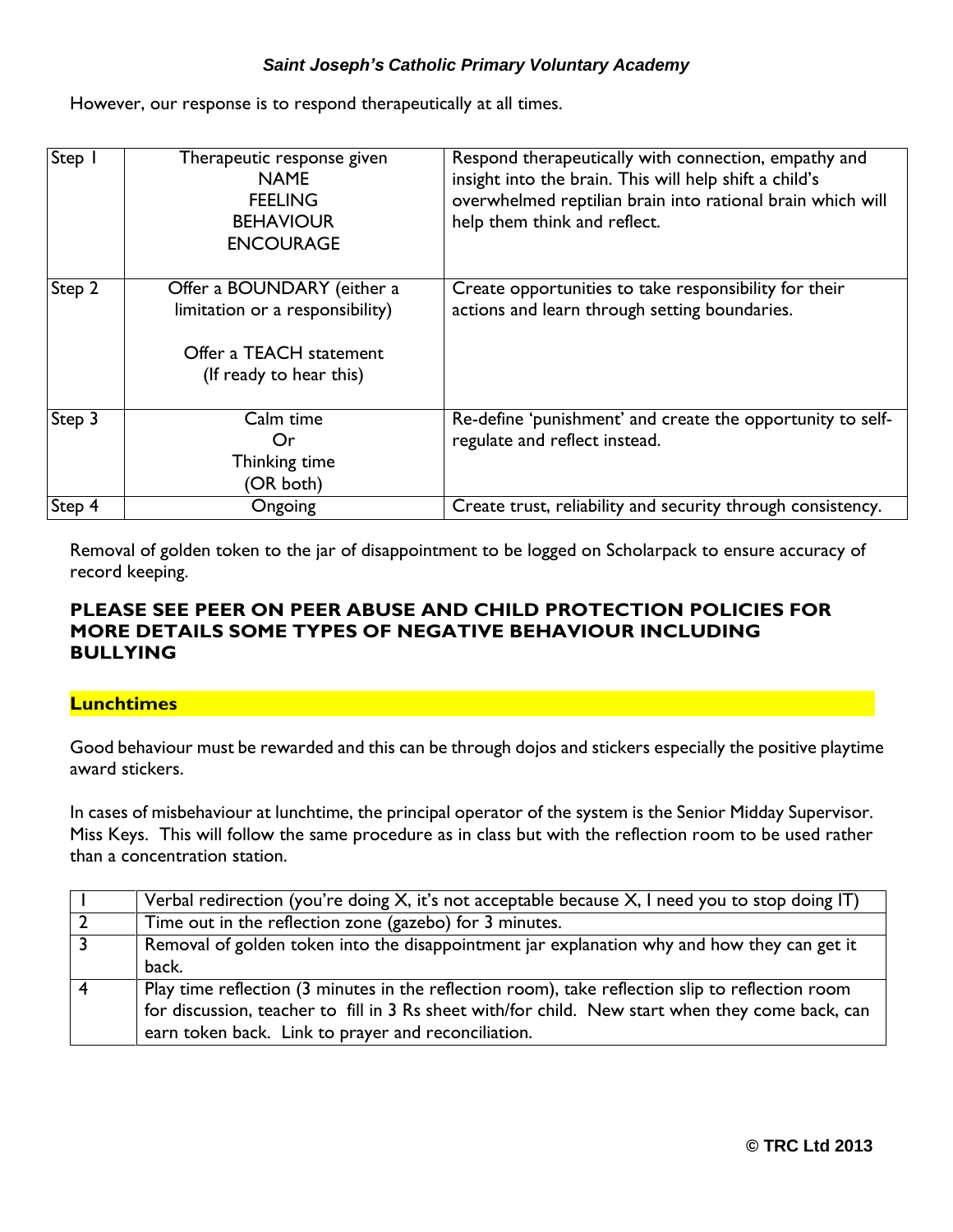However, our response is to respond therapeutically at all times.

| Step   | Therapeutic response given<br><b>NAME</b><br><b>FEELING</b><br><b>BEHAVIOUR</b><br><b>ENCOURAGE</b>                 | Respond therapeutically with connection, empathy and<br>insight into the brain. This will help shift a child's<br>overwhelmed reptilian brain into rational brain which will<br>help them think and reflect. |
|--------|---------------------------------------------------------------------------------------------------------------------|--------------------------------------------------------------------------------------------------------------------------------------------------------------------------------------------------------------|
| Step 2 | Offer a BOUNDARY (either a<br>limitation or a responsibility)<br>Offer a TEACH statement<br>(If ready to hear this) | Create opportunities to take responsibility for their<br>actions and learn through setting boundaries.                                                                                                       |
| Step 3 | Calm time<br>Or<br>Thinking time<br>(OR both)                                                                       | Re-define 'punishment' and create the opportunity to self-<br>regulate and reflect instead.                                                                                                                  |
| Step 4 | Ongoing                                                                                                             | Create trust, reliability and security through consistency.                                                                                                                                                  |

Removal of golden token to the jar of disappointment to be logged on Scholarpack to ensure accuracy of record keeping.

# **PLEASE SEE PEER ON PEER ABUSE AND CHILD PROTECTION POLICIES FOR MORE DETAILS SOME TYPES OF NEGATIVE BEHAVIOUR INCLUDING BULLYING**

# **Lunchtimes**

Good behaviour must be rewarded and this can be through dojos and stickers especially the positive playtime award stickers.

In cases of misbehaviour at lunchtime, the principal operator of the system is the Senior Midday Supervisor. Miss Keys. This will follow the same procedure as in class but with the reflection room to be used rather than a concentration station.

|                | Verbal redirection (you're doing X, it's not acceptable because X, I need you to stop doing IT)  |
|----------------|--------------------------------------------------------------------------------------------------|
|                | Time out in the reflection zone (gazebo) for 3 minutes.                                          |
| $\overline{3}$ | Removal of golden token into the disappointment jar explanation why and how they can get it      |
|                | back.                                                                                            |
|                | Play time reflection (3 minutes in the reflection room), take reflection slip to reflection room |
|                | for discussion, teacher to fill in 3 Rs sheet with/for child. New start when they come back, can |
|                | earn token back. Link to prayer and reconciliation.                                              |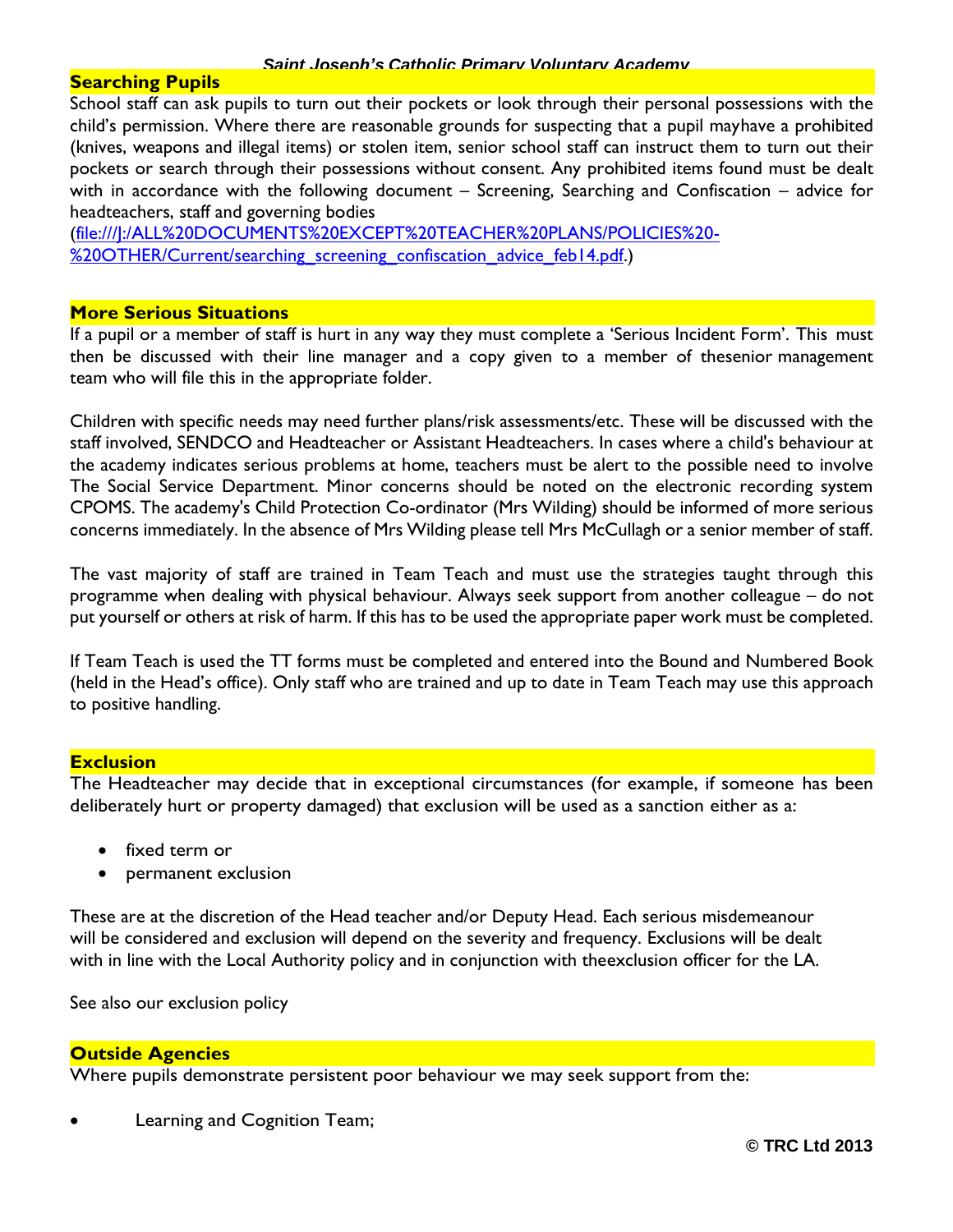## **Searching Pupils**

School staff can ask pupils to turn out their pockets or look through their personal possessions with the child's permission. Where there are reasonable grounds for suspecting that a pupil mayhave a prohibited (knives, weapons and illegal items) or stolen item, senior school staff can instruct them to turn out their pockets or search through their possessions without consent. Any prohibited items found must be dealt with in accordance with the following document – Screening, Searching and Confiscation – advice for headteachers, staff and governing bodies

[\(file:///J:/ALL%20DOCUMENTS%20EXCEPT%20TEACHER%20PLANS/POLICIES%20-](file://///2003server/staffpublic/ALL%20DOCUMENTS%20EXCEPT%20TEACHER%20PLANS/POLICIES%20-) %20OTHER/Current/searching\_screening\_confiscation\_advice\_feb14.pdf.)

#### **More Serious Situations**

If a pupil or a member of staff is hurt in any way they must complete a 'Serious Incident Form'. This must then be discussed with their line manager and a copy given to a member of thesenior management team who will file this in the appropriate folder.

Children with specific needs may need further plans/risk assessments/etc. These will be discussed with the staff involved, SENDCO and Headteacher or Assistant Headteachers. In cases where a child's behaviour at the academy indicates serious problems at home, teachers must be alert to the possible need to involve The Social Service Department. Minor concerns should be noted on the electronic recording system CPOMS. The academy's Child Protection Co-ordinator (Mrs Wilding) should be informed of more serious concerns immediately. In the absence of Mrs Wilding please tell Mrs McCullagh or a senior member of staff.

The vast majority of staff are trained in Team Teach and must use the strategies taught through this programme when dealing with physical behaviour. Always seek support from another colleague – do not put yourself or others at risk of harm. If this has to be used the appropriate paper work must be completed.

If Team Teach is used the TT forms must be completed and entered into the Bound and Numbered Book (held in the Head's office). Only staff who are trained and up to date in Team Teach may use this approach to positive handling.

## **Exclusion**

The Headteacher may decide that in exceptional circumstances (for example, if someone has been deliberately hurt or property damaged) that exclusion will be used as a sanction either as a:

- fixed term or
- permanent exclusion

These are at the discretion of the Head teacher and/or Deputy Head. Each serious misdemeanour will be considered and exclusion will depend on the severity and frequency. Exclusions will be dealt with in line with the Local Authority policy and in conjunction with theexclusion officer for the LA.

See also our exclusion policy

## **Outside Agencies**

Where pupils demonstrate persistent poor behaviour we may seek support from the:

Learning and Cognition Team;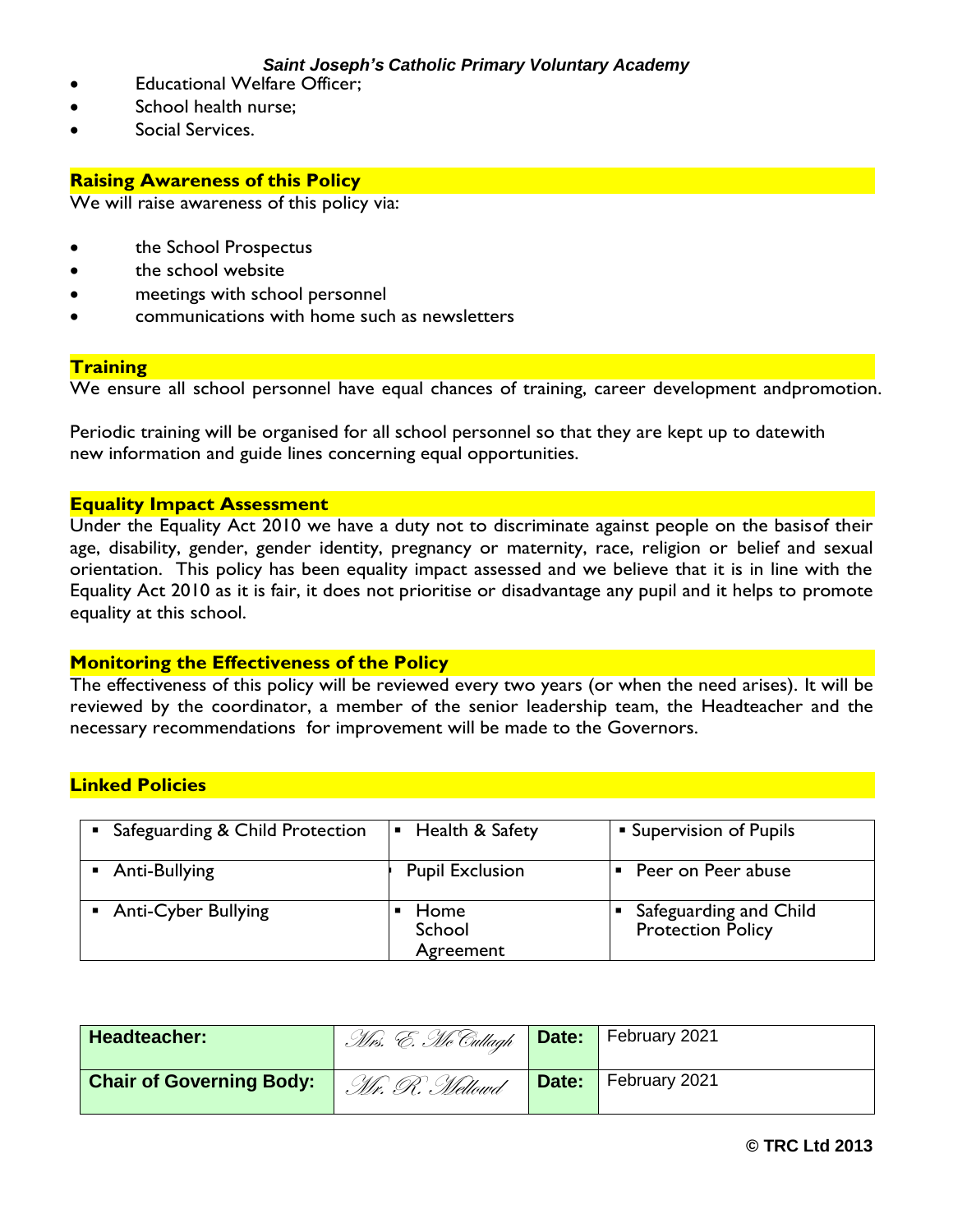- Educational Welfare Officer;
- School health nurse;
- Social Services.

## **Raising Awareness of this Policy**

We will raise awareness of this policy via:

- the School Prospectus
- the school website
- meetings with school personnel
- communications with home such as newsletters

#### **Training**

We ensure all school personnel have equal chances of training, career development andpromotion.

Periodic training will be organised for all school personnel so that they are kept up to datewith new information and guide lines concerning equal opportunities.

## **Equality Impact Assessment**

Under the Equality Act 2010 we have a duty not to discriminate against people on the basisof their age, disability, gender, gender identity, pregnancy or maternity, race, religion or belief and sexual orientation. This policy has been equality impact assessed and we believe that it is in line with the Equality Act 2010 as it is fair, it does not prioritise or disadvantage any pupil and it helps to promote equality at this school.

#### **Monitoring the Effectiveness of the Policy**

The effectiveness of this policy will be reviewed every two years (or when the need arises). It will be reviewed by the coordinator, a member of the senior leadership team, the Headteacher and the necessary recommendations for improvement will be made to the Governors.

# **Linked Policies**

| Safeguarding & Child Protection | <b>E</b> Health & Safety    | <b>Supervision of Pupils</b>                       |
|---------------------------------|-----------------------------|----------------------------------------------------|
| Anti-Bullying                   | <b>Pupil Exclusion</b>      | Peer on Peer abuse                                 |
| <b>Anti-Cyber Bullying</b>      | Home<br>School<br>Agreement | Safeguarding and Child<br><b>Protection Policy</b> |

| Headteacher:                    | <i>Mrs. E. Mc Cullagh</i> Date: February 2021 |       |               |
|---------------------------------|-----------------------------------------------|-------|---------------|
| <b>Chair of Governing Body:</b> | .Mr. R. Mellowd                               | Date: | February 2021 |